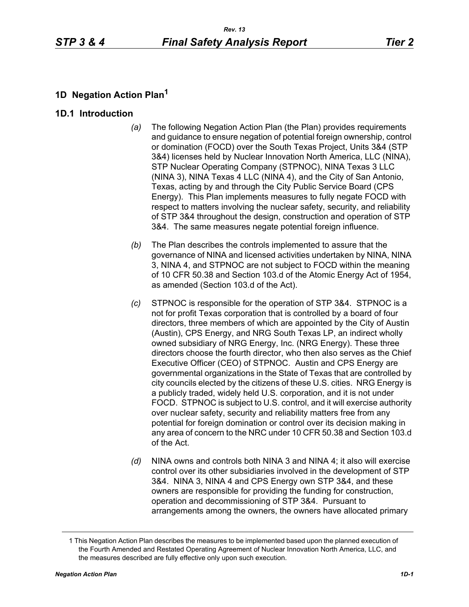## **1D Negation Action Plan<sup>1</sup>**

#### **1D.1 Introduction**

- *(a)* The following Negation Action Plan (the Plan) provides requirements and guidance to ensure negation of potential foreign ownership, control or domination (FOCD) over the South Texas Project, Units 3&4 (STP 3&4) licenses held by Nuclear Innovation North America, LLC (NINA), STP Nuclear Operating Company (STPNOC), NINA Texas 3 LLC (NINA 3), NINA Texas 4 LLC (NINA 4), and the City of San Antonio, Texas, acting by and through the City Public Service Board (CPS Energy). This Plan implements measures to fully negate FOCD with respect to matters involving the nuclear safety, security, and reliability of STP 3&4 throughout the design, construction and operation of STP 3&4. The same measures negate potential foreign influence.
- *(b)* The Plan describes the controls implemented to assure that the governance of NINA and licensed activities undertaken by NINA, NINA 3, NINA 4, and STPNOC are not subject to FOCD within the meaning of 10 CFR 50.38 and Section 103.d of the Atomic Energy Act of 1954, as amended (Section 103.d of the Act).
- *(c)* STPNOC is responsible for the operation of STP 3&4. STPNOC is a not for profit Texas corporation that is controlled by a board of four directors, three members of which are appointed by the City of Austin (Austin), CPS Energy, and NRG South Texas LP, an indirect wholly owned subsidiary of NRG Energy, Inc. (NRG Energy). These three directors choose the fourth director, who then also serves as the Chief Executive Officer (CEO) of STPNOC. Austin and CPS Energy are governmental organizations in the State of Texas that are controlled by city councils elected by the citizens of these U.S. cities. NRG Energy is a publicly traded, widely held U.S. corporation, and it is not under FOCD. STPNOC is subject to U.S. control, and it will exercise authority over nuclear safety, security and reliability matters free from any potential for foreign domination or control over its decision making in any area of concern to the NRC under 10 CFR 50.38 and Section 103.d of the Act.
- *(d)* NINA owns and controls both NINA 3 and NINA 4; it also will exercise control over its other subsidiaries involved in the development of STP 3&4. NINA 3, NINA 4 and CPS Energy own STP 3&4, and these owners are responsible for providing the funding for construction, operation and decommissioning of STP 3&4. Pursuant to arrangements among the owners, the owners have allocated primary

<sup>1</sup> This Negation Action Plan describes the measures to be implemented based upon the planned execution of the Fourth Amended and Restated Operating Agreement of Nuclear Innovation North America, LLC, and the measures described are fully effective only upon such execution.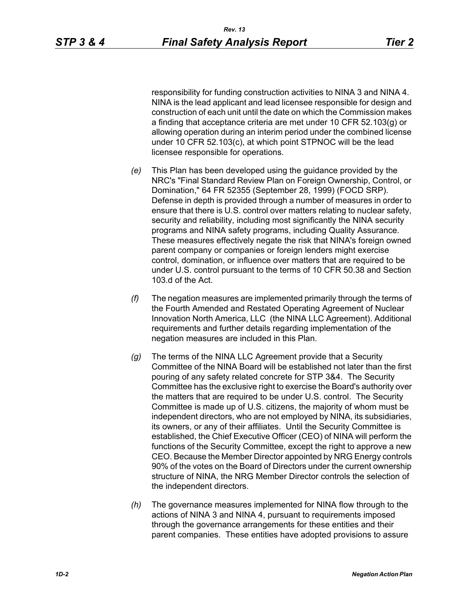responsibility for funding construction activities to NINA 3 and NINA 4. NINA is the lead applicant and lead licensee responsible for design and construction of each unit until the date on which the Commission makes a finding that acceptance criteria are met under 10 CFR 52.103(g) or allowing operation during an interim period under the combined license under 10 CFR 52.103(c), at which point STPNOC will be the lead licensee responsible for operations.

- *(e)* This Plan has been developed using the guidance provided by the NRC's "Final Standard Review Plan on Foreign Ownership, Control, or Domination," 64 FR 52355 (September 28, 1999) (FOCD SRP). Defense in depth is provided through a number of measures in order to ensure that there is U.S. control over matters relating to nuclear safety, security and reliability, including most significantly the NINA security programs and NINA safety programs, including Quality Assurance. These measures effectively negate the risk that NINA's foreign owned parent company or companies or foreign lenders might exercise control, domination, or influence over matters that are required to be under U.S. control pursuant to the terms of 10 CFR 50.38 and Section 103.d of the Act.
- *(f)* The negation measures are implemented primarily through the terms of the Fourth Amended and Restated Operating Agreement of Nuclear Innovation North America, LLC (the NINA LLC Agreement). Additional requirements and further details regarding implementation of the negation measures are included in this Plan.
- *(g)* The terms of the NINA LLC Agreement provide that a Security Committee of the NINA Board will be established not later than the first pouring of any safety related concrete for STP 3&4. The Security Committee has the exclusive right to exercise the Board's authority over the matters that are required to be under U.S. control. The Security Committee is made up of U.S. citizens, the majority of whom must be independent directors, who are not employed by NINA, its subsidiaries, its owners, or any of their affiliates. Until the Security Committee is established, the Chief Executive Officer (CEO) of NINA will perform the functions of the Security Committee, except the right to approve a new CEO. Because the Member Director appointed by NRG Energy controls 90% of the votes on the Board of Directors under the current ownership structure of NINA, the NRG Member Director controls the selection of the independent directors.
- *(h)* The governance measures implemented for NINA flow through to the actions of NINA 3 and NINA 4, pursuant to requirements imposed through the governance arrangements for these entities and their parent companies. These entities have adopted provisions to assure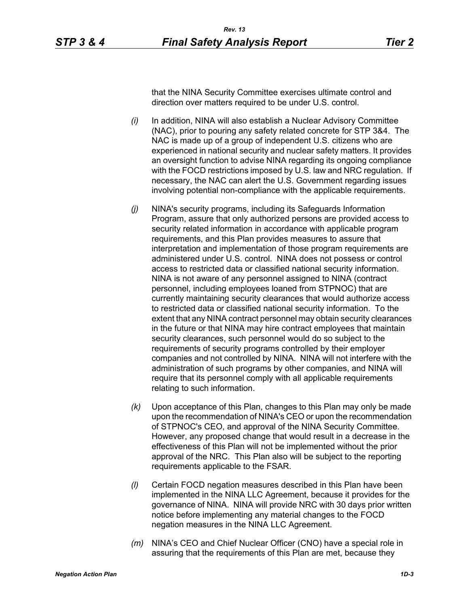that the NINA Security Committee exercises ultimate control and direction over matters required to be under U.S. control.

- *(i)* In addition, NINA will also establish a Nuclear Advisory Committee (NAC), prior to pouring any safety related concrete for STP 3&4. The NAC is made up of a group of independent U.S. citizens who are experienced in national security and nuclear safety matters. It provides an oversight function to advise NINA regarding its ongoing compliance with the FOCD restrictions imposed by U.S. law and NRC regulation. If necessary, the NAC can alert the U.S. Government regarding issues involving potential non-compliance with the applicable requirements.
- *(j)* NINA's security programs, including its Safeguards Information Program, assure that only authorized persons are provided access to security related information in accordance with applicable program requirements, and this Plan provides measures to assure that interpretation and implementation of those program requirements are administered under U.S. control. NINA does not possess or control access to restricted data or classified national security information. NINA is not aware of any personnel assigned to NINA (contract personnel, including employees loaned from STPNOC) that are currently maintaining security clearances that would authorize access to restricted data or classified national security information. To the extent that any NINA contract personnel may obtain security clearances in the future or that NINA may hire contract employees that maintain security clearances, such personnel would do so subject to the requirements of security programs controlled by their employer companies and not controlled by NINA. NINA will not interfere with the administration of such programs by other companies, and NINA will require that its personnel comply with all applicable requirements relating to such information.
- *(k)* Upon acceptance of this Plan, changes to this Plan may only be made upon the recommendation of NINA's CEO or upon the recommendation of STPNOC's CEO, and approval of the NINA Security Committee. However, any proposed change that would result in a decrease in the effectiveness of this Plan will not be implemented without the prior approval of the NRC. This Plan also will be subject to the reporting requirements applicable to the FSAR.
- *(l)* Certain FOCD negation measures described in this Plan have been implemented in the NINA LLC Agreement, because it provides for the governance of NINA. NINA will provide NRC with 30 days prior written notice before implementing any material changes to the FOCD negation measures in the NINA LLC Agreement.
- *(m)* NINA's CEO and Chief Nuclear Officer (CNO) have a special role in assuring that the requirements of this Plan are met, because they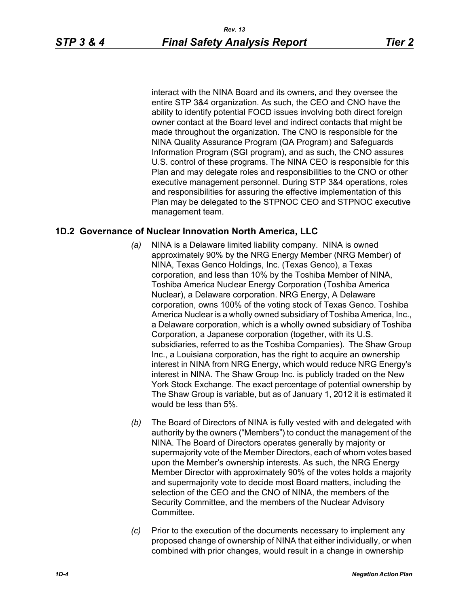interact with the NINA Board and its owners, and they oversee the entire STP 3&4 organization. As such, the CEO and CNO have the ability to identify potential FOCD issues involving both direct foreign owner contact at the Board level and indirect contacts that might be made throughout the organization. The CNO is responsible for the NINA Quality Assurance Program (QA Program) and Safeguards Information Program (SGI program), and as such, the CNO assures U.S. control of these programs. The NINA CEO is responsible for this Plan and may delegate roles and responsibilities to the CNO or other executive management personnel. During STP 3&4 operations, roles and responsibilities for assuring the effective implementation of this Plan may be delegated to the STPNOC CEO and STPNOC executive management team.

#### **1D.2 Governance of Nuclear Innovation North America, LLC**

- *(a)* NINA is a Delaware limited liability company. NINA is owned approximately 90% by the NRG Energy Member (NRG Member) of NINA, Texas Genco Holdings, Inc. (Texas Genco), a Texas corporation, and less than 10% by the Toshiba Member of NINA, Toshiba America Nuclear Energy Corporation (Toshiba America Nuclear), a Delaware corporation. NRG Energy, A Delaware corporation, owns 100% of the voting stock of Texas Genco. Toshiba America Nuclear is a wholly owned subsidiary of Toshiba America, Inc., a Delaware corporation, which is a wholly owned subsidiary of Toshiba Corporation, a Japanese corporation (together, with its U.S. subsidiaries, referred to as the Toshiba Companies). The Shaw Group Inc., a Louisiana corporation, has the right to acquire an ownership interest in NINA from NRG Energy, which would reduce NRG Energy's interest in NINA. The Shaw Group Inc. is publicly traded on the New York Stock Exchange. The exact percentage of potential ownership by The Shaw Group is variable, but as of January 1, 2012 it is estimated it would be less than 5%.
- *(b)* The Board of Directors of NINA is fully vested with and delegated with authority by the owners ("Members") to conduct the management of the NINA. The Board of Directors operates generally by majority or supermajority vote of the Member Directors, each of whom votes based upon the Member's ownership interests. As such, the NRG Energy Member Director with approximately 90% of the votes holds a majority and supermajority vote to decide most Board matters, including the selection of the CEO and the CNO of NINA, the members of the Security Committee, and the members of the Nuclear Advisory **Committee.**
- *(c)* Prior to the execution of the documents necessary to implement any proposed change of ownership of NINA that either individually, or when combined with prior changes, would result in a change in ownership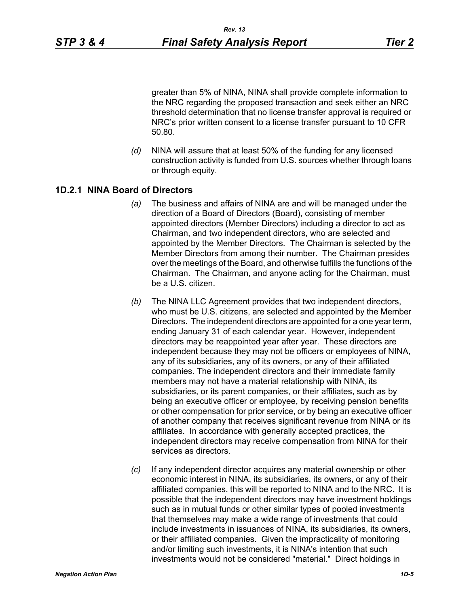greater than 5% of NINA, NINA shall provide complete information to the NRC regarding the proposed transaction and seek either an NRC threshold determination that no license transfer approval is required or NRC's prior written consent to a license transfer pursuant to 10 CFR 50.80.

*(d)* NINA will assure that at least 50% of the funding for any licensed construction activity is funded from U.S. sources whether through loans or through equity.

### **1D.2.1 NINA Board of Directors**

- *(a)* The business and affairs of NINA are and will be managed under the direction of a Board of Directors (Board), consisting of member appointed directors (Member Directors) including a director to act as Chairman, and two independent directors, who are selected and appointed by the Member Directors. The Chairman is selected by the Member Directors from among their number. The Chairman presides over the meetings of the Board, and otherwise fulfills the functions of the Chairman. The Chairman, and anyone acting for the Chairman, must be a U.S. citizen.
- *(b)* The NINA LLC Agreement provides that two independent directors, who must be U.S. citizens, are selected and appointed by the Member Directors. The independent directors are appointed for a one year term, ending January 31 of each calendar year. However, independent directors may be reappointed year after year. These directors are independent because they may not be officers or employees of NINA, any of its subsidiaries, any of its owners, or any of their affiliated companies. The independent directors and their immediate family members may not have a material relationship with NINA, its subsidiaries, or its parent companies, or their affiliates, such as by being an executive officer or employee, by receiving pension benefits or other compensation for prior service, or by being an executive officer of another company that receives significant revenue from NINA or its affiliates. In accordance with generally accepted practices, the independent directors may receive compensation from NINA for their services as directors.
- *(c)* If any independent director acquires any material ownership or other economic interest in NINA, its subsidiaries, its owners, or any of their affiliated companies, this will be reported to NINA and to the NRC. It is possible that the independent directors may have investment holdings such as in mutual funds or other similar types of pooled investments that themselves may make a wide range of investments that could include investments in issuances of NINA, its subsidiaries, its owners, or their affiliated companies. Given the impracticality of monitoring and/or limiting such investments, it is NINA's intention that such investments would not be considered "material." Direct holdings in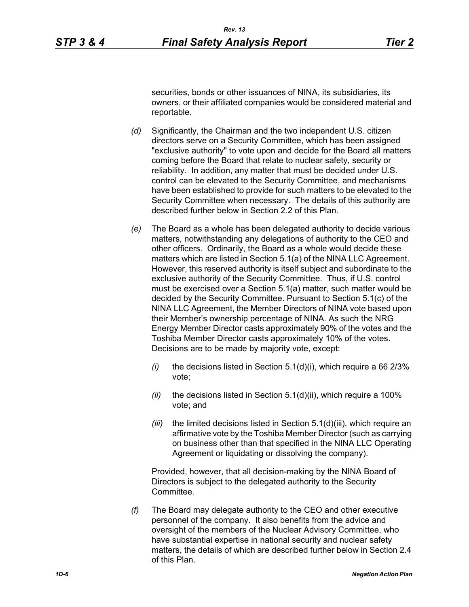securities, bonds or other issuances of NINA, its subsidiaries, its owners, or their affiliated companies would be considered material and reportable.

- *(d)* Significantly, the Chairman and the two independent U.S. citizen directors serve on a Security Committee, which has been assigned "exclusive authority" to vote upon and decide for the Board all matters coming before the Board that relate to nuclear safety, security or reliability. In addition, any matter that must be decided under U.S. control can be elevated to the Security Committee, and mechanisms have been established to provide for such matters to be elevated to the Security Committee when necessary. The details of this authority are described further below in Section 2.2 of this Plan.
- *(e)* The Board as a whole has been delegated authority to decide various matters, notwithstanding any delegations of authority to the CEO and other officers. Ordinarily, the Board as a whole would decide these matters which are listed in Section 5.1(a) of the NINA LLC Agreement. However, this reserved authority is itself subject and subordinate to the exclusive authority of the Security Committee. Thus, if U.S. control must be exercised over a Section 5.1(a) matter, such matter would be decided by the Security Committee. Pursuant to Section 5.1(c) of the NINA LLC Agreement, the Member Directors of NINA vote based upon their Member's ownership percentage of NINA. As such the NRG Energy Member Director casts approximately 90% of the votes and the Toshiba Member Director casts approximately 10% of the votes. Decisions are to be made by majority vote, except:
	- *(i)* the decisions listed in Section 5.1(d)(i), which require a 66 2/3% vote;
	- *(ii)* the decisions listed in Section 5.1(d)(ii), which require a 100% vote; and
	- *(iii)* the limited decisions listed in Section 5.1(d)(iii), which require an affirmative vote by the Toshiba Member Director (such as carrying on business other than that specified in the NINA LLC Operating Agreement or liquidating or dissolving the company).

Provided, however, that all decision-making by the NINA Board of Directors is subject to the delegated authority to the Security Committee.

*(f)* The Board may delegate authority to the CEO and other executive personnel of the company. It also benefits from the advice and oversight of the members of the Nuclear Advisory Committee, who have substantial expertise in national security and nuclear safety matters, the details of which are described further below in Section 2.4 of this Plan.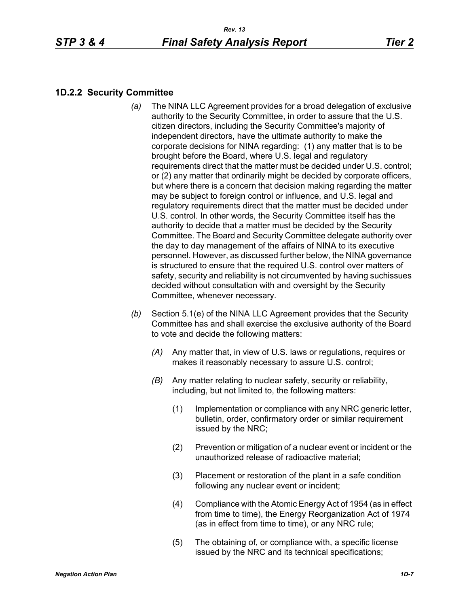## **1D.2.2 Security Committee**

- *(a)* The NINA LLC Agreement provides for a broad delegation of exclusive authority to the Security Committee, in order to assure that the U.S. citizen directors, including the Security Committee's majority of independent directors, have the ultimate authority to make the corporate decisions for NINA regarding: (1) any matter that is to be brought before the Board, where U.S. legal and regulatory requirements direct that the matter must be decided under U.S. control; or (2) any matter that ordinarily might be decided by corporate officers, but where there is a concern that decision making regarding the matter may be subject to foreign control or influence, and U.S. legal and regulatory requirements direct that the matter must be decided under U.S. control. In other words, the Security Committee itself has the authority to decide that a matter must be decided by the Security Committee. The Board and Security Committee delegate authority over the day to day management of the affairs of NINA to its executive personnel. However, as discussed further below, the NINA governance is structured to ensure that the required U.S. control over matters of safety, security and reliability is not circumvented by having suchissues decided without consultation with and oversight by the Security Committee, whenever necessary.
- *(b)* Section 5.1(e) of the NINA LLC Agreement provides that the Security Committee has and shall exercise the exclusive authority of the Board to vote and decide the following matters:
	- *(A)* Any matter that, in view of U.S. laws or regulations, requires or makes it reasonably necessary to assure U.S. control;
	- *(B)* Any matter relating to nuclear safety, security or reliability, including, but not limited to, the following matters:
		- (1) Implementation or compliance with any NRC generic letter, bulletin, order, confirmatory order or similar requirement issued by the NRC;
		- (2) Prevention or mitigation of a nuclear event or incident or the unauthorized release of radioactive material;
		- (3) Placement or restoration of the plant in a safe condition following any nuclear event or incident;
		- (4) Compliance with the Atomic Energy Act of 1954 (as in effect from time to time), the Energy Reorganization Act of 1974 (as in effect from time to time), or any NRC rule;
		- (5) The obtaining of, or compliance with, a specific license issued by the NRC and its technical specifications;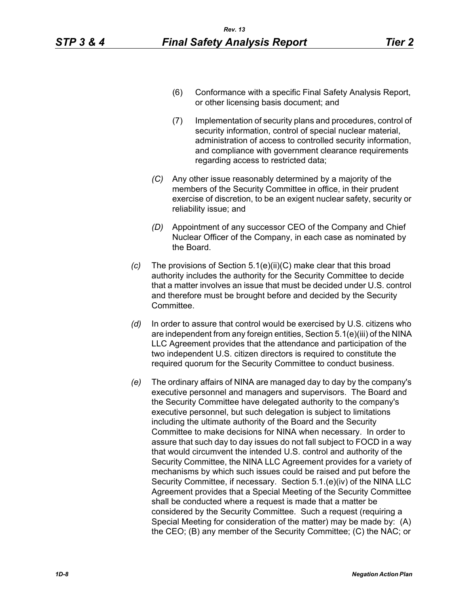- (6) Conformance with a specific Final Safety Analysis Report, or other licensing basis document; and
- (7) Implementation of security plans and procedures, control of security information, control of special nuclear material, administration of access to controlled security information, and compliance with government clearance requirements regarding access to restricted data;
- *(C)* Any other issue reasonably determined by a majority of the members of the Security Committee in office, in their prudent exercise of discretion, to be an exigent nuclear safety, security or reliability issue; and
- *(D)* Appointment of any successor CEO of the Company and Chief Nuclear Officer of the Company, in each case as nominated by the Board.
- *(c)* The provisions of Section 5.1(e)(ii)(C) make clear that this broad authority includes the authority for the Security Committee to decide that a matter involves an issue that must be decided under U.S. control and therefore must be brought before and decided by the Security **Committee**
- *(d)* In order to assure that control would be exercised by U.S. citizens who are independent from any foreign entities, Section 5.1(e)(iii) of the NINA LLC Agreement provides that the attendance and participation of the two independent U.S. citizen directors is required to constitute the required quorum for the Security Committee to conduct business.
- *(e)* The ordinary affairs of NINA are managed day to day by the company's executive personnel and managers and supervisors. The Board and the Security Committee have delegated authority to the company's executive personnel, but such delegation is subject to limitations including the ultimate authority of the Board and the Security Committee to make decisions for NINA when necessary. In order to assure that such day to day issues do not fall subject to FOCD in a way that would circumvent the intended U.S. control and authority of the Security Committee, the NINA LLC Agreement provides for a variety of mechanisms by which such issues could be raised and put before the Security Committee, if necessary. Section 5.1.(e)(iv) of the NINA LLC Agreement provides that a Special Meeting of the Security Committee shall be conducted where a request is made that a matter be considered by the Security Committee. Such a request (requiring a Special Meeting for consideration of the matter) may be made by: (A) the CEO; (B) any member of the Security Committee; (C) the NAC; or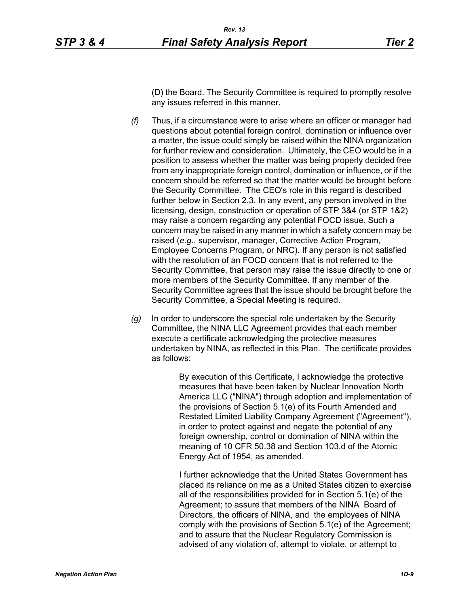(D) the Board. The Security Committee is required to promptly resolve any issues referred in this manner.

- *(f)* Thus, if a circumstance were to arise where an officer or manager had questions about potential foreign control, domination or influence over a matter, the issue could simply be raised within the NINA organization for further review and consideration. Ultimately, the CEO would be in a position to assess whether the matter was being properly decided free from any inappropriate foreign control, domination or influence, or if the concern should be referred so that the matter would be brought before the Security Committee. The CEO's role in this regard is described further below in Section 2.3. In any event, any person involved in the licensing, design, construction or operation of STP 3&4 (or STP 1&2) may raise a concern regarding any potential FOCD issue. Such a concern may be raised in any manner in which a safety concern may be raised (*e.g.*, supervisor, manager, Corrective Action Program, Employee Concerns Program, or NRC). If any person is not satisfied with the resolution of an FOCD concern that is not referred to the Security Committee, that person may raise the issue directly to one or more members of the Security Committee. If any member of the Security Committee agrees that the issue should be brought before the Security Committee, a Special Meeting is required.
- *(g)* In order to underscore the special role undertaken by the Security Committee, the NINA LLC Agreement provides that each member execute a certificate acknowledging the protective measures undertaken by NINA, as reflected in this Plan. The certificate provides as follows:

By execution of this Certificate, I acknowledge the protective measures that have been taken by Nuclear Innovation North America LLC ("NINA") through adoption and implementation of the provisions of Section 5.1(e) of its Fourth Amended and Restated Limited Liability Company Agreement ("Agreement"), in order to protect against and negate the potential of any foreign ownership, control or domination of NINA within the meaning of 10 CFR 50.38 and Section 103.d of the Atomic Energy Act of 1954, as amended.

I further acknowledge that the United States Government has placed its reliance on me as a United States citizen to exercise all of the responsibilities provided for in Section 5.1(e) of the Agreement; to assure that members of the NINA Board of Directors, the officers of NINA, and the employees of NINA comply with the provisions of Section 5.1(e) of the Agreement; and to assure that the Nuclear Regulatory Commission is advised of any violation of, attempt to violate, or attempt to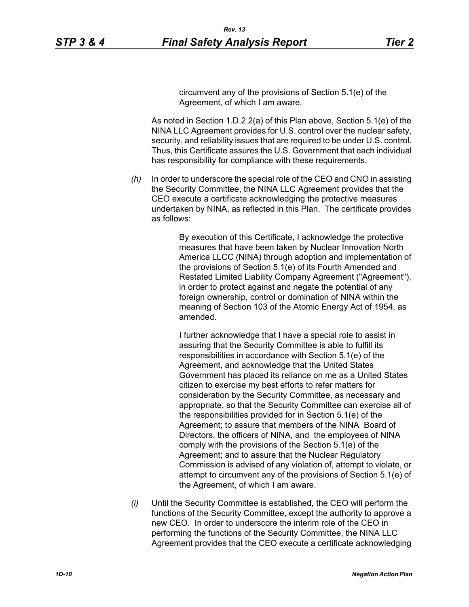circumvent any of the provisions of Section 5.1(e) of the Agreement, of which I am aware.

As noted in Section 1.D.2.2(a) of this Plan above, Section 5.1(e) of the NINA LLC Agreement provides for U.S. control over the nuclear safety, security, and reliability issues that are required to be under U.S. control. Thus, this Certificate assures the U.S. Government that each individual has responsibility for compliance with these requirements.

*(h)* In order to underscore the special role of the CEO and CNO in assisting the Security Committee, the NINA LLC Agreement provides that the CEO execute a certificate acknowledging the protective measures undertaken by NINA, as reflected in this Plan. The certificate provides as follows:

> By execution of this Certificate, I acknowledge the protective measures that have been taken by Nuclear Innovation North America LLCC (NINA) through adoption and implementation of the provisions of Section 5.1(e) of its Fourth Amended and Restated Limited Liability Company Agreement ("Agreement"), in order to protect against and negate the potential of any foreign ownership, control or domination of NINA within the meaning of Section 103 of the Atomic Energy Act of 1954, as amended.

> I further acknowledge that I have a special role to assist in assuring that the Security Committee is able to fulfill its responsibilities in accordance with Section 5.1(e) of the Agreement, and acknowledge that the United States Government has placed its reliance on me as a United States citizen to exercise my best efforts to refer matters for consideration by the Security Committee, as necessary and appropriate, so that the Security Committee can exercise all of the responsibilities provided for in Section 5.1(e) of the Agreement; to assure that members of the NINA Board of Directors, the officers of NINA, and the employees of NINA comply with the provisions of the Section 5.1(e) of the Agreement; and to assure that the Nuclear Regulatory Commission is advised of any violation of, attempt to violate, or attempt to circumvent any of the provisions of Section 5.1(e) of the Agreement, of which I am aware.

*(i)* Until the Security Committee is established, the CEO will perform the functions of the Security Committee, except the authority to approve a new CEO. In order to underscore the interim role of the CEO in performing the functions of the Security Committee, the NINA LLC Agreement provides that the CEO execute a certificate acknowledging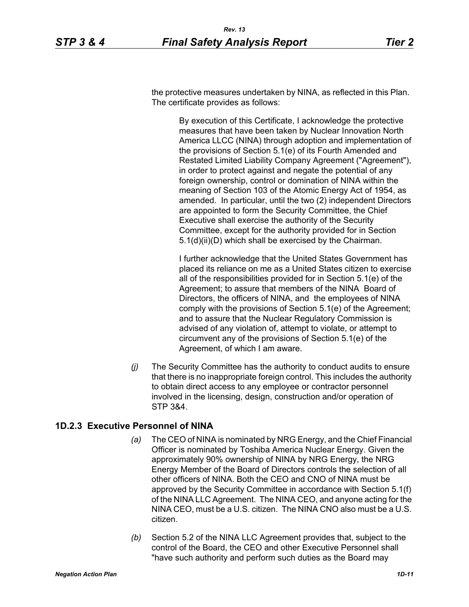the protective measures undertaken by NINA, as reflected in this Plan. The certificate provides as follows:

> By execution of this Certificate, I acknowledge the protective measures that have been taken by Nuclear Innovation North America LLCC (NINA) through adoption and implementation of the provisions of Section 5.1(e) of its Fourth Amended and Restated Limited Liability Company Agreement ("Agreement"), in order to protect against and negate the potential of any foreign ownership, control or domination of NINA within the meaning of Section 103 of the Atomic Energy Act of 1954, as amended. In particular, until the two (2) independent Directors are appointed to form the Security Committee, the Chief Executive shall exercise the authority of the Security Committee, except for the authority provided for in Section 5.1(d)(ii)(D) which shall be exercised by the Chairman.

> I further acknowledge that the United States Government has placed its reliance on me as a United States citizen to exercise all of the responsibilities provided for in Section 5.1(e) of the Agreement; to assure that members of the NINA Board of Directors, the officers of NINA, and the employees of NINA comply with the provisions of Section 5.1(e) of the Agreement; and to assure that the Nuclear Regulatory Commission is advised of any violation of, attempt to violate, or attempt to circumvent any of the provisions of Section 5.1(e) of the Agreement, of which I am aware.

*(j)* The Security Committee has the authority to conduct audits to ensure that there is no inappropriate foreign control. This includes the authority to obtain direct access to any employee or contractor personnel involved in the licensing, design, construction and/or operation of STP 3&4.

#### **1D.2.3 Executive Personnel of NINA**

- *(a)* The CEO of NINA is nominated by NRG Energy, and the Chief Financial Officer is nominated by Toshiba America Nuclear Energy. Given the approximately 90% ownership of NINA by NRG Energy, the NRG Energy Member of the Board of Directors controls the selection of all other officers of NINA. Both the CEO and CNO of NINA must be approved by the Security Committee in accordance with Section 5.1(f) of the NINA LLC Agreement. The NINA CEO, and anyone acting for the NINA CEO, must be a U.S. citizen. The NINA CNO also must be a U.S. citizen.
- *(b)* Section 5.2 of the NINA LLC Agreement provides that, subject to the control of the Board, the CEO and other Executive Personnel shall "have such authority and perform such duties as the Board may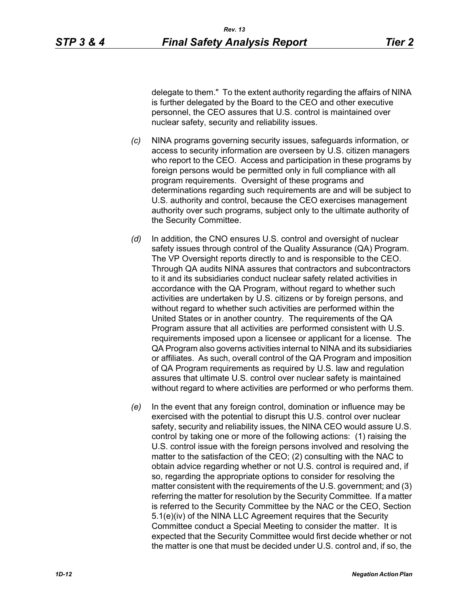delegate to them." To the extent authority regarding the affairs of NINA is further delegated by the Board to the CEO and other executive personnel, the CEO assures that U.S. control is maintained over nuclear safety, security and reliability issues.

- *(c)* NINA programs governing security issues, safeguards information, or access to security information are overseen by U.S. citizen managers who report to the CEO. Access and participation in these programs by foreign persons would be permitted only in full compliance with all program requirements. Oversight of these programs and determinations regarding such requirements are and will be subject to U.S. authority and control, because the CEO exercises management authority over such programs, subject only to the ultimate authority of the Security Committee.
- *(d)* In addition, the CNO ensures U.S. control and oversight of nuclear safety issues through control of the Quality Assurance (QA) Program. The VP Oversight reports directly to and is responsible to the CEO. Through QA audits NINA assures that contractors and subcontractors to it and its subsidiaries conduct nuclear safety related activities in accordance with the QA Program, without regard to whether such activities are undertaken by U.S. citizens or by foreign persons, and without regard to whether such activities are performed within the United States or in another country. The requirements of the QA Program assure that all activities are performed consistent with U.S. requirements imposed upon a licensee or applicant for a license. The QA Program also governs activities internal to NINA and its subsidiaries or affiliates. As such, overall control of the QA Program and imposition of QA Program requirements as required by U.S. law and regulation assures that ultimate U.S. control over nuclear safety is maintained without regard to where activities are performed or who performs them.
- *(e)* In the event that any foreign control, domination or influence may be exercised with the potential to disrupt this U.S. control over nuclear safety, security and reliability issues, the NINA CEO would assure U.S. control by taking one or more of the following actions: (1) raising the U.S. control issue with the foreign persons involved and resolving the matter to the satisfaction of the CEO; (2) consulting with the NAC to obtain advice regarding whether or not U.S. control is required and, if so, regarding the appropriate options to consider for resolving the matter consistent with the requirements of the U.S. government; and (3) referring the matter for resolution by the Security Committee. If a matter is referred to the Security Committee by the NAC or the CEO, Section 5.1(e)(iv) of the NINA LLC Agreement requires that the Security Committee conduct a Special Meeting to consider the matter. It is expected that the Security Committee would first decide whether or not the matter is one that must be decided under U.S. control and, if so, the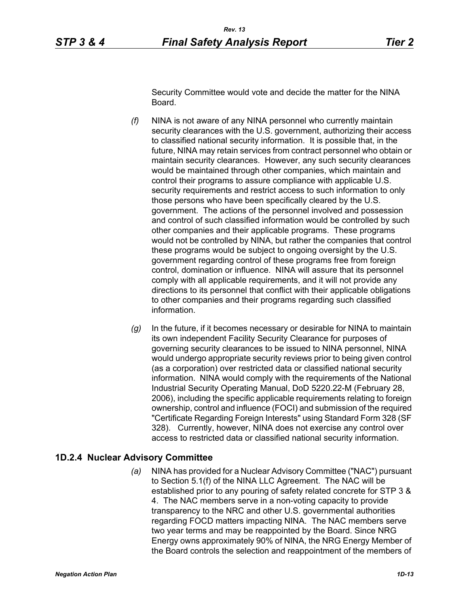Security Committee would vote and decide the matter for the NINA Board.

- *(f)* NINA is not aware of any NINA personnel who currently maintain security clearances with the U.S. government, authorizing their access to classified national security information. It is possible that, in the future, NINA may retain services from contract personnel who obtain or maintain security clearances. However, any such security clearances would be maintained through other companies, which maintain and control their programs to assure compliance with applicable U.S. security requirements and restrict access to such information to only those persons who have been specifically cleared by the U.S. government. The actions of the personnel involved and possession and control of such classified information would be controlled by such other companies and their applicable programs. These programs would not be controlled by NINA, but rather the companies that control these programs would be subject to ongoing oversight by the U.S. government regarding control of these programs free from foreign control, domination or influence. NINA will assure that its personnel comply with all applicable requirements, and it will not provide any directions to its personnel that conflict with their applicable obligations to other companies and their programs regarding such classified information.
- *(g)* In the future, if it becomes necessary or desirable for NINA to maintain its own independent Facility Security Clearance for purposes of governing security clearances to be issued to NINA personnel, NINA would undergo appropriate security reviews prior to being given control (as a corporation) over restricted data or classified national security information. NINA would comply with the requirements of the National Industrial Security Operating Manual, DoD 5220.22-M (February 28, 2006), including the specific applicable requirements relating to foreign ownership, control and influence (FOCI) and submission of the required "Certificate Regarding Foreign Interests" using Standard Form 328 (SF 328). Currently, however, NINA does not exercise any control over access to restricted data or classified national security information.

#### **1D.2.4 Nuclear Advisory Committee**

*(a)* NINA has provided for a Nuclear Advisory Committee ("NAC") pursuant to Section 5.1(f) of the NINA LLC Agreement. The NAC will be established prior to any pouring of safety related concrete for STP 3 & 4. The NAC members serve in a non-voting capacity to provide transparency to the NRC and other U.S. governmental authorities regarding FOCD matters impacting NINA. The NAC members serve two year terms and may be reappointed by the Board. Since NRG Energy owns approximately 90% of NINA, the NRG Energy Member of the Board controls the selection and reappointment of the members of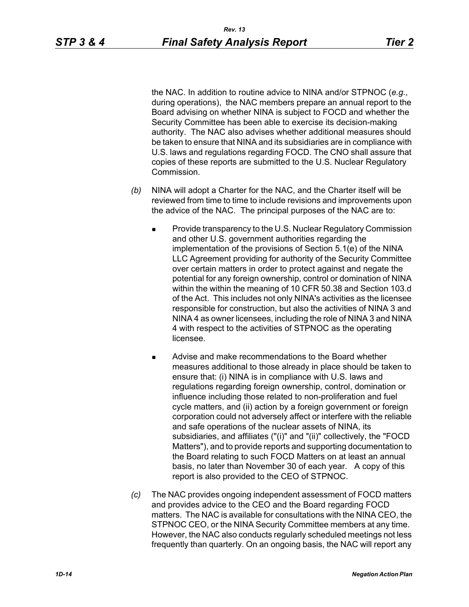the NAC. In addition to routine advice to NINA and/or STPNOC (*e.g.*, during operations), the NAC members prepare an annual report to the Board advising on whether NINA is subject to FOCD and whether the Security Committee has been able to exercise its decision-making authority. The NAC also advises whether additional measures should be taken to ensure that NINA and its subsidiaries are in compliance with U.S. laws and regulations regarding FOCD. The CNO shall assure that copies of these reports are submitted to the U.S. Nuclear Regulatory Commission.

- *(b)* NINA will adopt a Charter for the NAC, and the Charter itself will be reviewed from time to time to include revisions and improvements upon the advice of the NAC. The principal purposes of the NAC are to:
	- Provide transparency to the U.S. Nuclear Regulatory Commission and other U.S. government authorities regarding the implementation of the provisions of Section 5.1(e) of the NINA LLC Agreement providing for authority of the Security Committee over certain matters in order to protect against and negate the potential for any foreign ownership, control or domination of NINA within the within the meaning of 10 CFR 50.38 and Section 103.d of the Act. This includes not only NINA's activities as the licensee responsible for construction, but also the activities of NINA 3 and NINA 4 as owner licensees, including the role of NINA 3 and NINA 4 with respect to the activities of STPNOC as the operating licensee.
	- **Advise and make recommendations to the Board whether** measures additional to those already in place should be taken to ensure that: (i) NINA is in compliance with U.S. laws and regulations regarding foreign ownership, control, domination or influence including those related to non-proliferation and fuel cycle matters, and (ii) action by a foreign government or foreign corporation could not adversely affect or interfere with the reliable and safe operations of the nuclear assets of NINA, its subsidiaries, and affiliates ("(i)" and "(ii)" collectively, the "FOCD Matters"), and to provide reports and supporting documentation to the Board relating to such FOCD Matters on at least an annual basis, no later than November 30 of each year. A copy of this report is also provided to the CEO of STPNOC.
- *(c)* The NAC provides ongoing independent assessment of FOCD matters and provides advice to the CEO and the Board regarding FOCD matters. The NAC is available for consultations with the NINA CEO, the STPNOC CEO, or the NINA Security Committee members at any time. However, the NAC also conducts regularly scheduled meetings not less frequently than quarterly. On an ongoing basis, the NAC will report any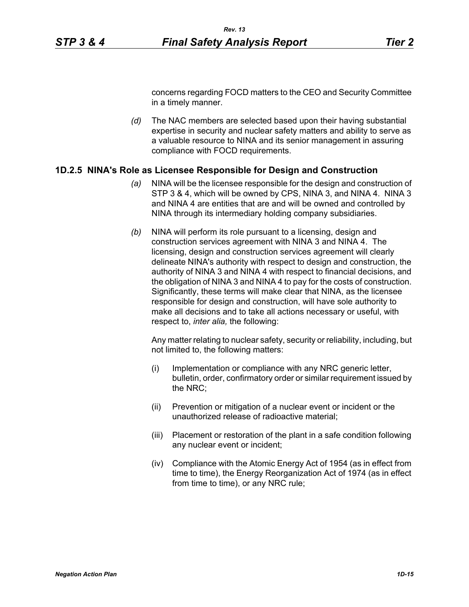concerns regarding FOCD matters to the CEO and Security Committee in a timely manner.

*(d)* The NAC members are selected based upon their having substantial expertise in security and nuclear safety matters and ability to serve as a valuable resource to NINA and its senior management in assuring compliance with FOCD requirements.

#### **1D.2.5 NINA's Role as Licensee Responsible for Design and Construction**

- *(a)* NINA will be the licensee responsible for the design and construction of STP 3 & 4, which will be owned by CPS, NINA 3, and NINA 4. NINA 3 and NINA 4 are entities that are and will be owned and controlled by NINA through its intermediary holding company subsidiaries.
- *(b)* NINA will perform its role pursuant to a licensing, design and construction services agreement with NINA 3 and NINA 4. The licensing, design and construction services agreement will clearly delineate NINA's authority with respect to design and construction, the authority of NINA 3 and NINA 4 with respect to financial decisions, and the obligation of NINA 3 and NINA 4 to pay for the costs of construction. Significantly, these terms will make clear that NINA, as the licensee responsible for design and construction, will have sole authority to make all decisions and to take all actions necessary or useful, with respect to, *inter alia,* the following:

Any matter relating to nuclear safety, security or reliability, including, but not limited to, the following matters:

- (i) Implementation or compliance with any NRC generic letter, bulletin, order, confirmatory order or similar requirement issued by the NRC;
- (ii) Prevention or mitigation of a nuclear event or incident or the unauthorized release of radioactive material;
- (iii) Placement or restoration of the plant in a safe condition following any nuclear event or incident;
- (iv) Compliance with the Atomic Energy Act of 1954 (as in effect from time to time), the Energy Reorganization Act of 1974 (as in effect from time to time), or any NRC rule;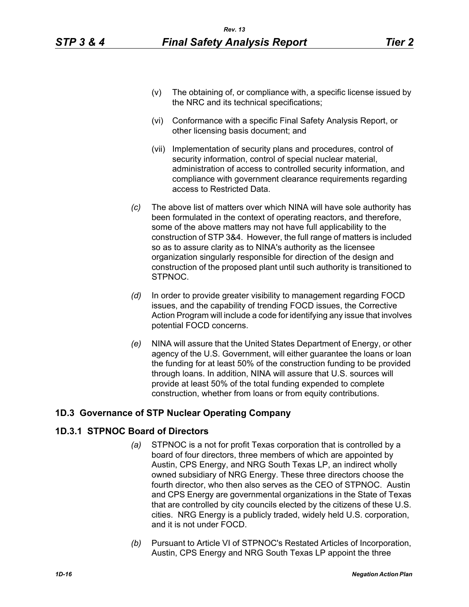- (v) The obtaining of, or compliance with, a specific license issued by the NRC and its technical specifications;
- (vi) Conformance with a specific Final Safety Analysis Report, or other licensing basis document; and
- (vii) Implementation of security plans and procedures, control of security information, control of special nuclear material, administration of access to controlled security information, and compliance with government clearance requirements regarding access to Restricted Data.
- *(c)* The above list of matters over which NINA will have sole authority has been formulated in the context of operating reactors, and therefore, some of the above matters may not have full applicability to the construction of STP 3&4. However, the full range of matters is included so as to assure clarity as to NINA's authority as the licensee organization singularly responsible for direction of the design and construction of the proposed plant until such authority is transitioned to STPNOC.
- *(d)* In order to provide greater visibility to management regarding FOCD issues, and the capability of trending FOCD issues, the Corrective Action Program will include a code for identifying any issue that involves potential FOCD concerns.
- *(e)* NINA will assure that the United States Department of Energy, or other agency of the U.S. Government, will either guarantee the loans or loan the funding for at least 50% of the construction funding to be provided through loans. In addition, NINA will assure that U.S. sources will provide at least 50% of the total funding expended to complete construction, whether from loans or from equity contributions.

# **1D.3 Governance of STP Nuclear Operating Company**

# **1D.3.1 STPNOC Board of Directors**

- *(a)* STPNOC is a not for profit Texas corporation that is controlled by a board of four directors, three members of which are appointed by Austin, CPS Energy, and NRG South Texas LP, an indirect wholly owned subsidiary of NRG Energy. These three directors choose the fourth director, who then also serves as the CEO of STPNOC. Austin and CPS Energy are governmental organizations in the State of Texas that are controlled by city councils elected by the citizens of these U.S. cities. NRG Energy is a publicly traded, widely held U.S. corporation, and it is not under FOCD.
- *(b)* Pursuant to Article VI of STPNOC's Restated Articles of Incorporation, Austin, CPS Energy and NRG South Texas LP appoint the three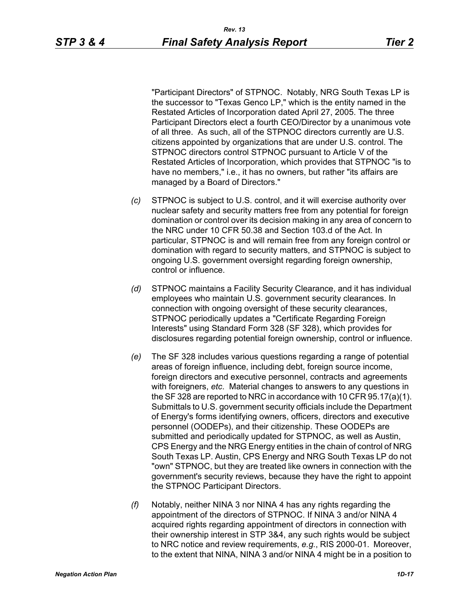"Participant Directors" of STPNOC. Notably, NRG South Texas LP is the successor to "Texas Genco LP," which is the entity named in the Restated Articles of Incorporation dated April 27, 2005. The three Participant Directors elect a fourth CEO/Director by a unanimous vote of all three. As such, all of the STPNOC directors currently are U.S. citizens appointed by organizations that are under U.S. control. The STPNOC directors control STPNOC pursuant to Article V of the Restated Articles of Incorporation, which provides that STPNOC "is to have no members," i.e., it has no owners, but rather "its affairs are managed by a Board of Directors."

- *(c)* STPNOC is subject to U.S. control, and it will exercise authority over nuclear safety and security matters free from any potential for foreign domination or control over its decision making in any area of concern to the NRC under 10 CFR 50.38 and Section 103.d of the Act. In particular, STPNOC is and will remain free from any foreign control or domination with regard to security matters, and STPNOC is subject to ongoing U.S. government oversight regarding foreign ownership, control or influence.
- *(d)* STPNOC maintains a Facility Security Clearance, and it has individual employees who maintain U.S. government security clearances. In connection with ongoing oversight of these security clearances, STPNOC periodically updates a "Certificate Regarding Foreign Interests" using Standard Form 328 (SF 328), which provides for disclosures regarding potential foreign ownership, control or influence.
- *(e)* The SF 328 includes various questions regarding a range of potential areas of foreign influence, including debt, foreign source income, foreign directors and executive personnel, contracts and agreements with foreigners, *etc*. Material changes to answers to any questions in the SF 328 are reported to NRC in accordance with 10 CFR 95.17(a)(1). Submittals to U.S. government security officials include the Department of Energy's forms identifying owners, officers, directors and executive personnel (OODEPs), and their citizenship. These OODEPs are submitted and periodically updated for STPNOC, as well as Austin, CPS Energy and the NRG Energy entities in the chain of control of NRG South Texas LP. Austin, CPS Energy and NRG South Texas LP do not "own" STPNOC, but they are treated like owners in connection with the government's security reviews, because they have the right to appoint the STPNOC Participant Directors.
- *(f)* Notably, neither NINA 3 nor NINA 4 has any rights regarding the appointment of the directors of STPNOC. If NINA 3 and/or NINA 4 acquired rights regarding appointment of directors in connection with their ownership interest in STP 3&4, any such rights would be subject to NRC notice and review requirements, *e.g.*, RIS 2000-01. Moreover, to the extent that NINA, NINA 3 and/or NINA 4 might be in a position to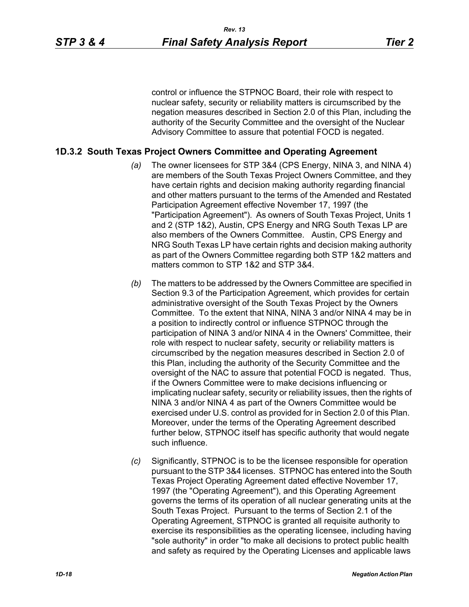control or influence the STPNOC Board, their role with respect to nuclear safety, security or reliability matters is circumscribed by the negation measures described in Section 2.0 of this Plan, including the authority of the Security Committee and the oversight of the Nuclear Advisory Committee to assure that potential FOCD is negated.

### **1D.3.2 South Texas Project Owners Committee and Operating Agreement**

- *(a)* The owner licensees for STP 3&4 (CPS Energy, NINA 3, and NINA 4) are members of the South Texas Project Owners Committee, and they have certain rights and decision making authority regarding financial and other matters pursuant to the terms of the Amended and Restated Participation Agreement effective November 17, 1997 (the "Participation Agreement"). As owners of South Texas Project, Units 1 and 2 (STP 1&2), Austin, CPS Energy and NRG South Texas LP are also members of the Owners Committee. Austin, CPS Energy and NRG South Texas LP have certain rights and decision making authority as part of the Owners Committee regarding both STP 1&2 matters and matters common to STP 1&2 and STP 3&4.
- *(b)* The matters to be addressed by the Owners Committee are specified in Section 9.3 of the Participation Agreement, which provides for certain administrative oversight of the South Texas Project by the Owners Committee. To the extent that NINA, NINA 3 and/or NINA 4 may be in a position to indirectly control or influence STPNOC through the participation of NINA 3 and/or NINA 4 in the Owners' Committee, their role with respect to nuclear safety, security or reliability matters is circumscribed by the negation measures described in Section 2.0 of this Plan, including the authority of the Security Committee and the oversight of the NAC to assure that potential FOCD is negated. Thus, if the Owners Committee were to make decisions influencing or implicating nuclear safety, security or reliability issues, then the rights of NINA 3 and/or NINA 4 as part of the Owners Committee would be exercised under U.S. control as provided for in Section 2.0 of this Plan. Moreover, under the terms of the Operating Agreement described further below, STPNOC itself has specific authority that would negate such influence.
- *(c)* Significantly, STPNOC is to be the licensee responsible for operation pursuant to the STP 3&4 licenses. STPNOC has entered into the South Texas Project Operating Agreement dated effective November 17, 1997 (the "Operating Agreement"), and this Operating Agreement governs the terms of its operation of all nuclear generating units at the South Texas Project. Pursuant to the terms of Section 2.1 of the Operating Agreement, STPNOC is granted all requisite authority to exercise its responsibilities as the operating licensee, including having "sole authority" in order "to make all decisions to protect public health and safety as required by the Operating Licenses and applicable laws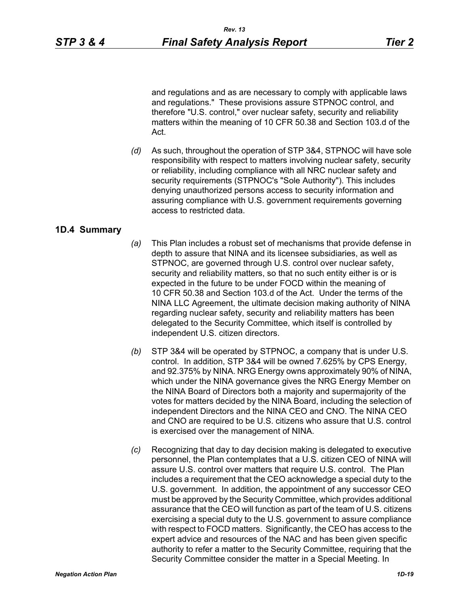and regulations and as are necessary to comply with applicable laws and regulations." These provisions assure STPNOC control, and therefore "U.S. control," over nuclear safety, security and reliability matters within the meaning of 10 CFR 50.38 and Section 103.d of the Act.

*(d)* As such, throughout the operation of STP 3&4, STPNOC will have sole responsibility with respect to matters involving nuclear safety, security or reliability, including compliance with all NRC nuclear safety and security requirements (STPNOC's "Sole Authority"). This includes denying unauthorized persons access to security information and assuring compliance with U.S. government requirements governing access to restricted data.

### **1D.4 Summary**

- *(a)* This Plan includes a robust set of mechanisms that provide defense in depth to assure that NINA and its licensee subsidiaries, as well as STPNOC, are governed through U.S. control over nuclear safety, security and reliability matters, so that no such entity either is or is expected in the future to be under FOCD within the meaning of 10 CFR 50.38 and Section 103.d of the Act. Under the terms of the NINA LLC Agreement, the ultimate decision making authority of NINA regarding nuclear safety, security and reliability matters has been delegated to the Security Committee, which itself is controlled by independent U.S. citizen directors.
- *(b)* STP 3&4 will be operated by STPNOC, a company that is under U.S. control. In addition, STP 3&4 will be owned 7.625% by CPS Energy, and 92.375% by NINA. NRG Energy owns approximately 90% of NINA, which under the NINA governance gives the NRG Energy Member on the NINA Board of Directors both a majority and supermajority of the votes for matters decided by the NINA Board, including the selection of independent Directors and the NINA CEO and CNO. The NINA CEO and CNO are required to be U.S. citizens who assure that U.S. control is exercised over the management of NINA.
- *(c)* Recognizing that day to day decision making is delegated to executive personnel, the Plan contemplates that a U.S. citizen CEO of NINA will assure U.S. control over matters that require U.S. control. The Plan includes a requirement that the CEO acknowledge a special duty to the U.S. government. In addition, the appointment of any successor CEO must be approved by the Security Committee, which provides additional assurance that the CEO will function as part of the team of U.S. citizens exercising a special duty to the U.S. government to assure compliance with respect to FOCD matters. Significantly, the CEO has access to the expert advice and resources of the NAC and has been given specific authority to refer a matter to the Security Committee, requiring that the Security Committee consider the matter in a Special Meeting. In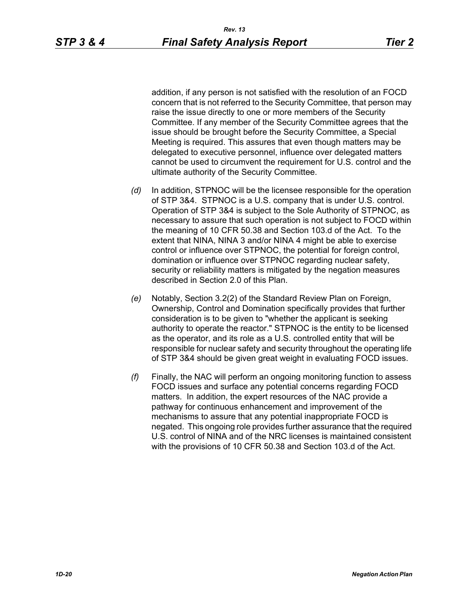addition, if any person is not satisfied with the resolution of an FOCD concern that is not referred to the Security Committee, that person may raise the issue directly to one or more members of the Security Committee. If any member of the Security Committee agrees that the issue should be brought before the Security Committee, a Special Meeting is required. This assures that even though matters may be delegated to executive personnel, influence over delegated matters cannot be used to circumvent the requirement for U.S. control and the ultimate authority of the Security Committee.

- *(d)* In addition, STPNOC will be the licensee responsible for the operation of STP 3&4. STPNOC is a U.S. company that is under U.S. control. Operation of STP 3&4 is subject to the Sole Authority of STPNOC, as necessary to assure that such operation is not subject to FOCD within the meaning of 10 CFR 50.38 and Section 103.d of the Act. To the extent that NINA, NINA 3 and/or NINA 4 might be able to exercise control or influence over STPNOC, the potential for foreign control, domination or influence over STPNOC regarding nuclear safety, security or reliability matters is mitigated by the negation measures described in Section 2.0 of this Plan.
- *(e)* Notably, Section 3.2(2) of the Standard Review Plan on Foreign, Ownership, Control and Domination specifically provides that further consideration is to be given to "whether the applicant is seeking authority to operate the reactor." STPNOC is the entity to be licensed as the operator, and its role as a U.S. controlled entity that will be responsible for nuclear safety and security throughout the operating life of STP 3&4 should be given great weight in evaluating FOCD issues.
- *(f)* Finally, the NAC will perform an ongoing monitoring function to assess FOCD issues and surface any potential concerns regarding FOCD matters. In addition, the expert resources of the NAC provide a pathway for continuous enhancement and improvement of the mechanisms to assure that any potential inappropriate FOCD is negated. This ongoing role provides further assurance that the required U.S. control of NINA and of the NRC licenses is maintained consistent with the provisions of 10 CFR 50.38 and Section 103.d of the Act.